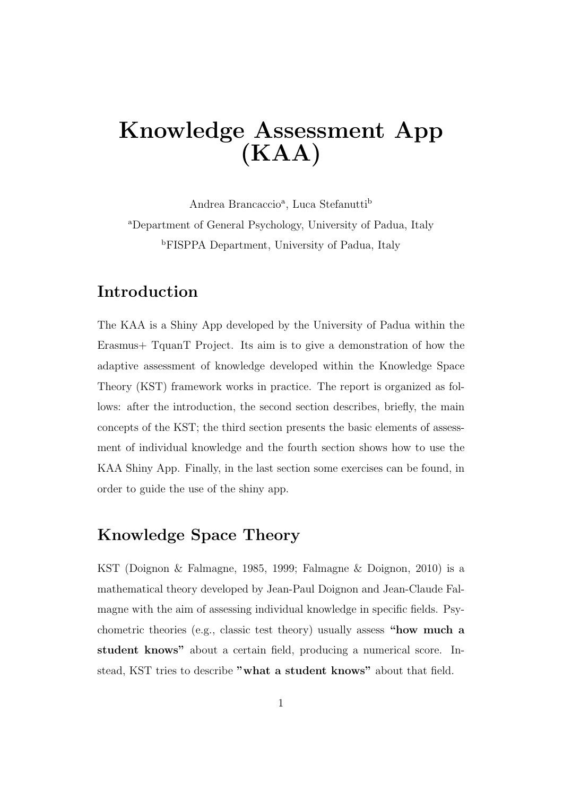# Knowledge Assessment App (KAA)

Andrea Brancaccio<sup>a</sup>, Luca Stefanutti<sup>b</sup> <sup>a</sup>Department of General Psychology, University of Padua, Italy <sup>b</sup>FISPPA Department, University of Padua, Italy

#### Introduction

The KAA is a Shiny App developed by the University of Padua within the Erasmus+ TquanT Project. Its aim is to give a demonstration of how the adaptive assessment of knowledge developed within the Knowledge Space Theory (KST) framework works in practice. The report is organized as follows: after the introduction, the second section describes, briefly, the main concepts of the KST; the third section presents the basic elements of assessment of individual knowledge and the fourth section shows how to use the KAA Shiny App. Finally, in the last section some exercises can be found, in order to guide the use of the shiny app.

#### Knowledge Space Theory

KST (Doignon & Falmagne, 1985, 1999; Falmagne & Doignon, 2010) is a mathematical theory developed by Jean-Paul Doignon and Jean-Claude Falmagne with the aim of assessing individual knowledge in specific fields. Psychometric theories (e.g., classic test theory) usually assess "how much a student knows" about a certain field, producing a numerical score. Instead, KST tries to describe "what a student knows" about that field.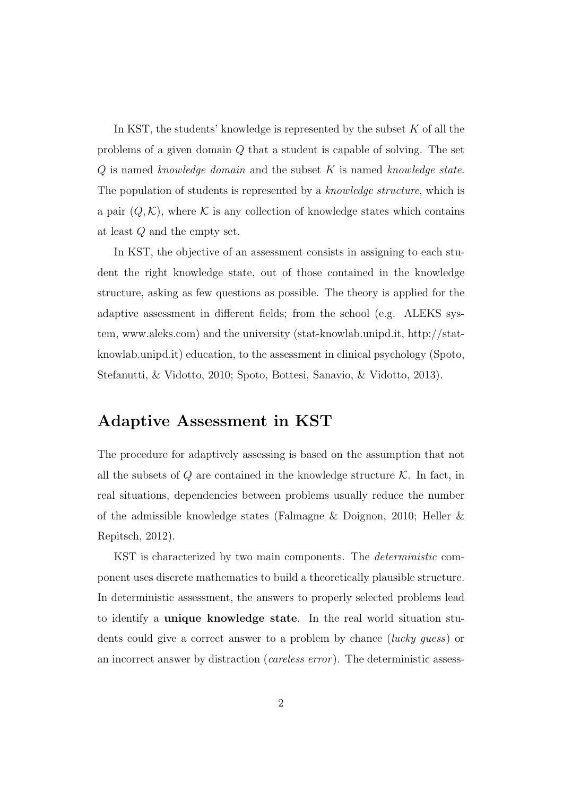In KST, the students' knowledge is represented by the subset  $K$  of all the problems of a given domain Q that a student is capable of solving. The set  $Q$  is named knowledge domain and the subset  $K$  is named knowledge state. The population of students is represented by a knowledge structure, which is a pair  $(Q, \mathcal{K})$ , where  $\mathcal K$  is any collection of knowledge states which contains at least Q and the empty set.

In KST, the objective of an assessment consists in assigning to each student the right knowledge state, out of those contained in the knowledge structure, asking as few questions as possible. The theory is applied for the adaptive assessment in different fields; from the school (e.g. ALEKS system, www.aleks.com) and the university (stat-knowlab.unipd.it, http://statknowlab.unipd.it) education, to the assessment in clinical psychology (Spoto, Stefanutti, & Vidotto, 2010; Spoto, Bottesi, Sanavio, & Vidotto, 2013).

#### Adaptive Assessment in KST

The procedure for adaptively assessing is based on the assumption that not all the subsets of  $Q$  are contained in the knowledge structure  $K$ . In fact, in real situations, dependencies between problems usually reduce the number of the admissible knowledge states (Falmagne & Doignon, 2010; Heller & Repitsch, 2012).

KST is characterized by two main components. The deterministic component uses discrete mathematics to build a theoretically plausible structure. In deterministic assessment, the answers to properly selected problems lead to identify a unique knowledge state. In the real world situation students could give a correct answer to a problem by chance (lucky guess) or an incorrect answer by distraction (careless error ). The deterministic assess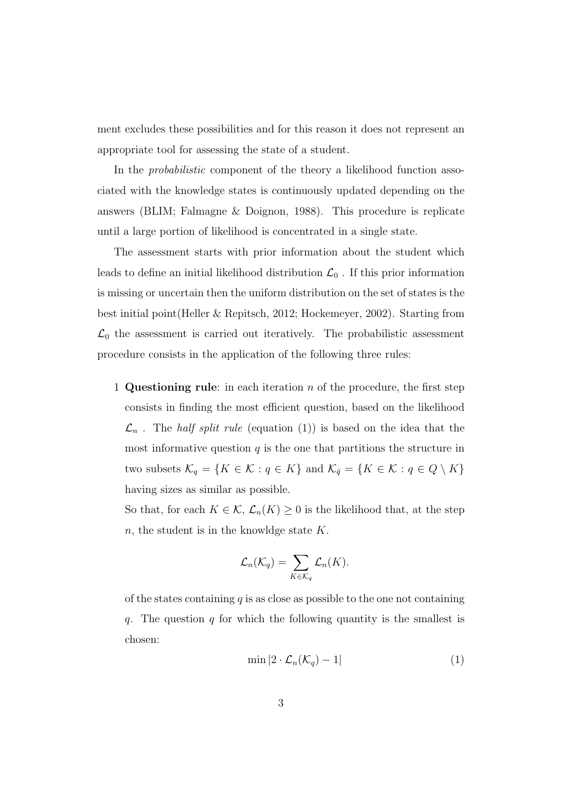ment excludes these possibilities and for this reason it does not represent an appropriate tool for assessing the state of a student.

In the probabilistic component of the theory a likelihood function associated with the knowledge states is continuously updated depending on the answers (BLIM; Falmagne & Doignon, 1988). This procedure is replicate until a large portion of likelihood is concentrated in a single state.

The assessment starts with prior information about the student which leads to define an initial likelihood distribution  $\mathcal{L}_0$ . If this prior information is missing or uncertain then the uniform distribution on the set of states is the best initial point(Heller & Repitsch, 2012; Hockemeyer, 2002). Starting from  $\mathcal{L}_0$  the assessment is carried out iteratively. The probabilistic assessment procedure consists in the application of the following three rules:

1 Questioning rule: in each iteration  $n$  of the procedure, the first step consists in finding the most efficient question, based on the likelihood  $\mathcal{L}_n$ . The *half split rule* (equation (1)) is based on the idea that the most informative question  $q$  is the one that partitions the structure in two subsets  $\mathcal{K}_q = \{K \in \mathcal{K} : q \in K\}$  and  $\mathcal{K}_{\bar{q}} = \{K \in \mathcal{K} : q \in Q \setminus K\}$ having sizes as similar as possible.

So that, for each  $K \in \mathcal{K}$ ,  $\mathcal{L}_n(K) \geq 0$  is the likelihood that, at the step  $n$ , the student is in the knowldge state  $K$ .

$$
\mathcal{L}_n(\mathcal{K}_q) = \sum_{K \in \mathcal{K}_q} \mathcal{L}_n(K).
$$

of the states containing  $q$  is as close as possible to the one not containing q. The question q for which the following quantity is the smallest is chosen:

$$
\min |2 \cdot \mathcal{L}_n(\mathcal{K}_q) - 1| \tag{1}
$$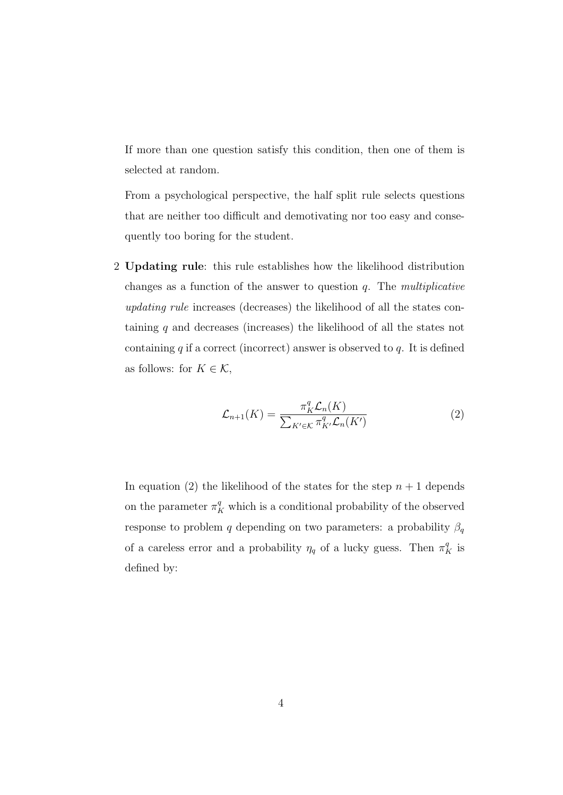If more than one question satisfy this condition, then one of them is selected at random.

From a psychological perspective, the half split rule selects questions that are neither too difficult and demotivating nor too easy and consequently too boring for the student.

2 Updating rule: this rule establishes how the likelihood distribution changes as a function of the answer to question  $q$ . The multiplicative updating rule increases (decreases) the likelihood of all the states containing q and decreases (increases) the likelihood of all the states not containing  $q$  if a correct (incorrect) answer is observed to  $q$ . It is defined as follows: for  $K \in \mathcal{K}$ ,

$$
\mathcal{L}_{n+1}(K) = \frac{\pi_K^q \mathcal{L}_n(K)}{\sum_{K' \in \mathcal{K}} \pi_{K'}^q \mathcal{L}_n(K')}
$$
 (2)

In equation (2) the likelihood of the states for the step  $n + 1$  depends on the parameter  $\pi_K^q$  which is a conditional probability of the observed response to problem q depending on two parameters: a probability  $\beta_q$ of a careless error and a probability  $\eta_q$  of a lucky guess. Then  $\pi_K^q$  is defined by: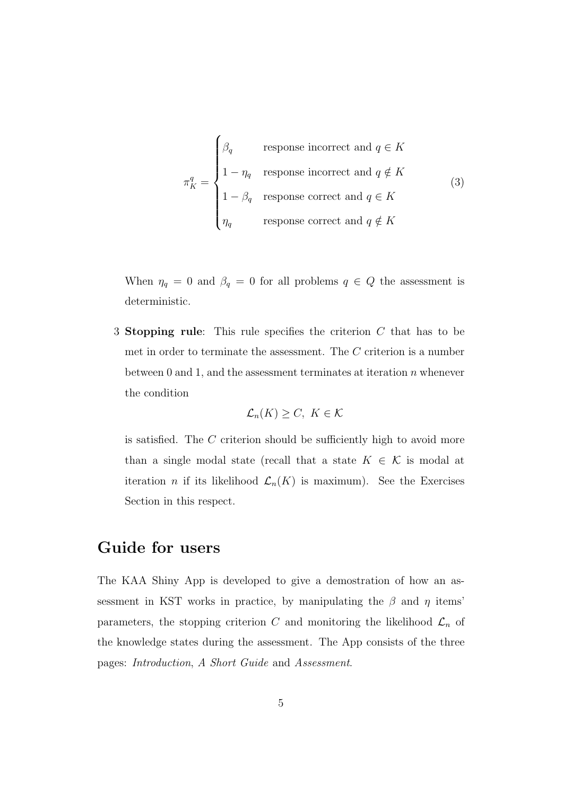$$
\pi_K^q = \begin{cases}\n\beta_q & \text{response incorrect and } q \in K \\
1 - \eta_q & \text{response incorrect and } q \notin K \\
1 - \beta_q & \text{response correct and } q \in K \\
\eta_q & \text{response correct and } q \notin K\n\end{cases}
$$
\n(3)

When  $\eta_q = 0$  and  $\beta_q = 0$  for all problems  $q \in Q$  the assessment is deterministic.

3 Stopping rule: This rule specifies the criterion C that has to be met in order to terminate the assessment. The C criterion is a number between 0 and 1, and the assessment terminates at iteration  $n$  whenever the condition

$$
\mathcal{L}_n(K) \ge C, \ K \in \mathcal{K}
$$

is satisfied. The C criterion should be sufficiently high to avoid more than a single modal state (recall that a state  $K \in \mathcal{K}$  is modal at iteration *n* if its likelihood  $\mathcal{L}_n(K)$  is maximum). See the Exercises Section in this respect.

#### Guide for users

The KAA Shiny App is developed to give a demostration of how an assessment in KST works in practice, by manipulating the  $\beta$  and  $\eta$  items' parameters, the stopping criterion C and monitoring the likelihood  $\mathcal{L}_n$  of the knowledge states during the assessment. The App consists of the three pages: Introduction, A Short Guide and Assessment.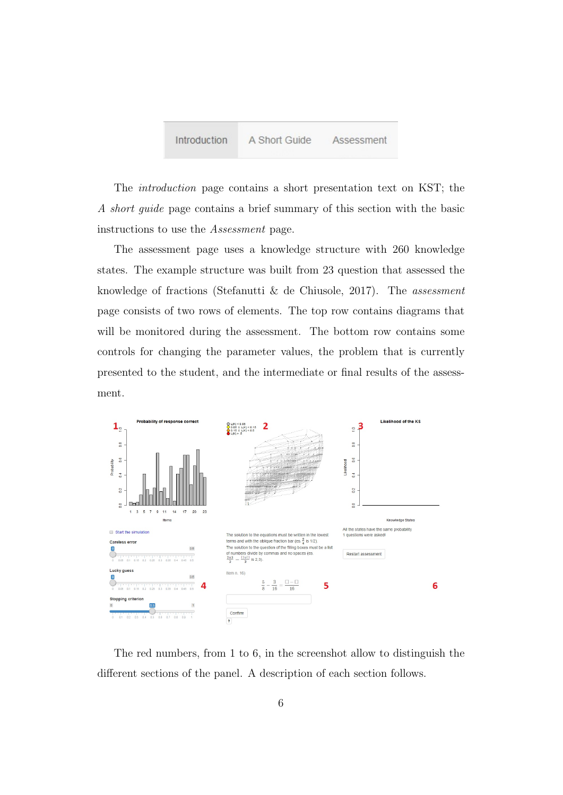

The introduction page contains a short presentation text on KST; the A short guide page contains a brief summary of this section with the basic instructions to use the Assessment page.

The assessment page uses a knowledge structure with 260 knowledge states. The example structure was built from 23 question that assessed the knowledge of fractions (Stefanutti & de Chiusole, 2017). The assessment page consists of two rows of elements. The top row contains diagrams that will be monitored during the assessment. The bottom row contains some controls for changing the parameter values, the problem that is currently presented to the student, and the intermediate or final results of the assessment.



The red numbers, from 1 to 6, in the screenshot allow to distinguish the different sections of the panel. A description of each section follows.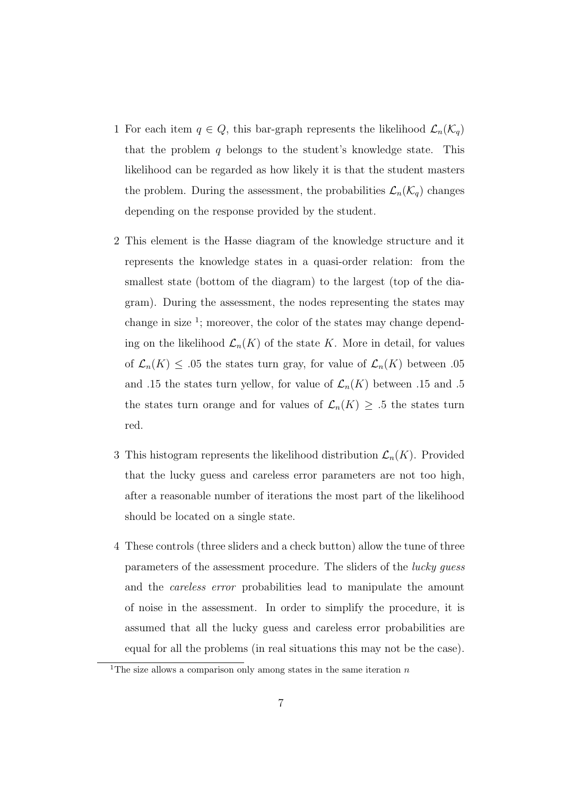- 1 For each item  $q \in Q$ , this bar-graph represents the likelihood  $\mathcal{L}_n(\mathcal{K}_q)$ that the problem q belongs to the student's knowledge state. This likelihood can be regarded as how likely it is that the student masters the problem. During the assessment, the probabilities  $\mathcal{L}_n(\mathcal{K}_q)$  changes depending on the response provided by the student.
- 2 This element is the Hasse diagram of the knowledge structure and it represents the knowledge states in a quasi-order relation: from the smallest state (bottom of the diagram) to the largest (top of the diagram). During the assessment, the nodes representing the states may change in size  $\frac{1}{2}$ ; moreover, the color of the states may change depending on the likelihood  $\mathcal{L}_n(K)$  of the state K. More in detail, for values of  $\mathcal{L}_n(K) \leq .05$  the states turn gray, for value of  $\mathcal{L}_n(K)$  between .05 and .15 the states turn yellow, for value of  $\mathcal{L}_n(K)$  between .15 and .5 the states turn orange and for values of  $\mathcal{L}_n(K) \geq .5$  the states turn red.
- 3 This histogram represents the likelihood distribution  $\mathcal{L}_n(K)$ . Provided that the lucky guess and careless error parameters are not too high, after a reasonable number of iterations the most part of the likelihood should be located on a single state.
- 4 These controls (three sliders and a check button) allow the tune of three parameters of the assessment procedure. The sliders of the lucky guess and the careless error probabilities lead to manipulate the amount of noise in the assessment. In order to simplify the procedure, it is assumed that all the lucky guess and careless error probabilities are equal for all the problems (in real situations this may not be the case).

<sup>&</sup>lt;sup>1</sup>The size allows a comparison only among states in the same iteration  $n$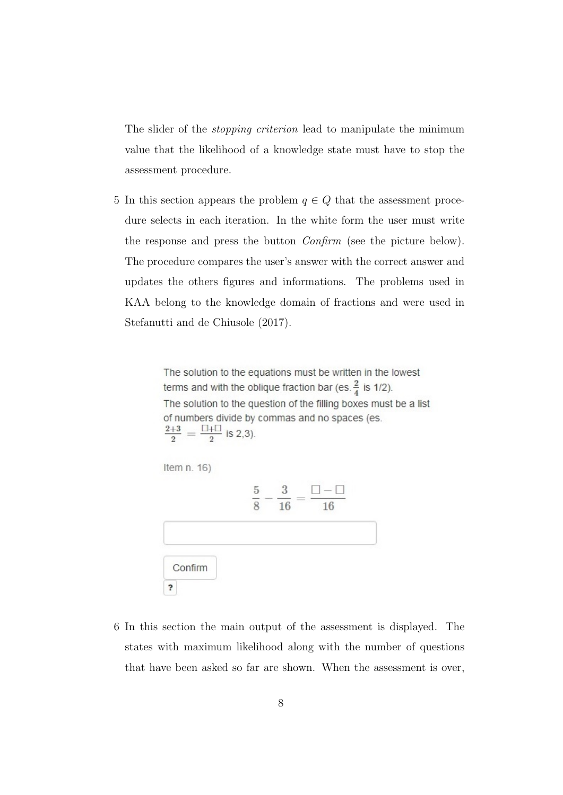The slider of the *stopping criterion* lead to manipulate the minimum value that the likelihood of a knowledge state must have to stop the assessment procedure.

5 In this section appears the problem  $q \in Q$  that the assessment procedure selects in each iteration. In the white form the user must write the response and press the button Confirm (see the picture below). The procedure compares the user's answer with the correct answer and updates the others figures and informations. The problems used in KAA belong to the knowledge domain of fractions and were used in Stefanutti and de Chiusole (2017).

> The solution to the equations must be written in the lowest terms and with the oblique fraction bar (es.  $\frac{2}{4}$  is 1/2). The solution to the question of the filling boxes must be a list of numbers divide by commas and no spaces (es.  $\frac{2+3}{2} = \frac{\Box + \Box}{2}$  is 2,3).



6 In this section the main output of the assessment is displayed. The states with maximum likelihood along with the number of questions that have been asked so far are shown. When the assessment is over,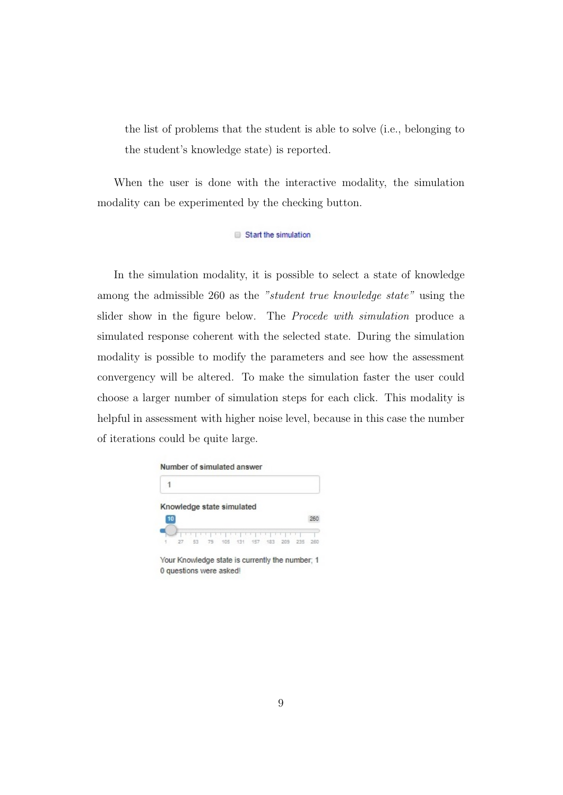the list of problems that the student is able to solve (i.e., belonging to the student's knowledge state) is reported.

When the user is done with the interactive modality, the simulation modality can be experimented by the checking button.

Start the simulation

In the simulation modality, it is possible to select a state of knowledge among the admissible 260 as the "student true knowledge state" using the slider show in the figure below. The Procede with simulation produce a simulated response coherent with the selected state. During the simulation modality is possible to modify the parameters and see how the assessment convergency will be altered. To make the simulation faster the user could choose a larger number of simulation steps for each click. This modality is helpful in assessment with higher noise level, because in this case the number of iterations could be quite large.

| Knowledge state simulated<br>10 |  |  |
|---------------------------------|--|--|
|                                 |  |  |
|                                 |  |  |
|                                 |  |  |

Your Knowledge state is currently the number; 1 0 questions were asked!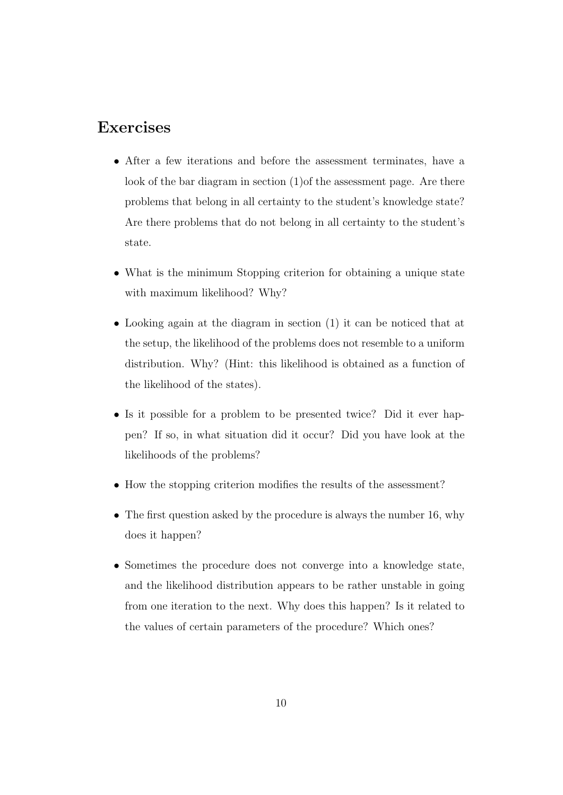## Exercises

- After a few iterations and before the assessment terminates, have a look of the bar diagram in section (1)of the assessment page. Are there problems that belong in all certainty to the student's knowledge state? Are there problems that do not belong in all certainty to the student's state.
- What is the minimum Stopping criterion for obtaining a unique state with maximum likelihood? Why?
- Looking again at the diagram in section (1) it can be noticed that at the setup, the likelihood of the problems does not resemble to a uniform distribution. Why? (Hint: this likelihood is obtained as a function of the likelihood of the states).
- Is it possible for a problem to be presented twice? Did it ever happen? If so, in what situation did it occur? Did you have look at the likelihoods of the problems?
- How the stopping criterion modifies the results of the assessment?
- The first question asked by the procedure is always the number 16, why does it happen?
- Sometimes the procedure does not converge into a knowledge state, and the likelihood distribution appears to be rather unstable in going from one iteration to the next. Why does this happen? Is it related to the values of certain parameters of the procedure? Which ones?